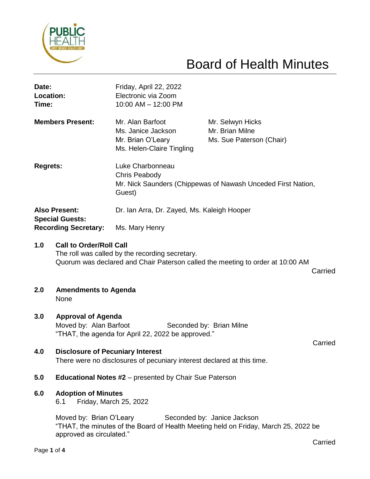

# Board of Health Minutes

| Date:<br>Location:<br>Time:                                                   |                                                                                                                                                                                | Friday, April 22, 2022<br>Electronic via Zoom<br>10:00 AM - 12:00 PM                                               |                                                                 |  |
|-------------------------------------------------------------------------------|--------------------------------------------------------------------------------------------------------------------------------------------------------------------------------|--------------------------------------------------------------------------------------------------------------------|-----------------------------------------------------------------|--|
| <b>Members Present:</b>                                                       |                                                                                                                                                                                | Mr. Alan Barfoot<br>Ms. Janice Jackson<br>Mr. Brian O'Leary<br>Ms. Helen-Claire Tingling                           | Mr. Selwyn Hicks<br>Mr. Brian Milne<br>Ms. Sue Paterson (Chair) |  |
| <b>Regrets:</b>                                                               |                                                                                                                                                                                | Luke Charbonneau<br><b>Chris Peabody</b><br>Mr. Nick Saunders (Chippewas of Nawash Unceded First Nation,<br>Guest) |                                                                 |  |
| <b>Also Present:</b><br><b>Special Guests:</b><br><b>Recording Secretary:</b> |                                                                                                                                                                                | Dr. Ian Arra, Dr. Zayed, Ms. Kaleigh Hooper                                                                        |                                                                 |  |
|                                                                               |                                                                                                                                                                                | Ms. Mary Henry                                                                                                     |                                                                 |  |
| 1.0                                                                           | <b>Call to Order/Roll Call</b><br>The roll was called by the recording secretary.<br>Quorum was declared and Chair Paterson called the meeting to order at 10:00 AM<br>Carried |                                                                                                                    |                                                                 |  |
| 2.0                                                                           | <b>Amendments to Agenda</b><br>None                                                                                                                                            |                                                                                                                    |                                                                 |  |
| 3.0                                                                           | <b>Approval of Agenda</b><br>Moved by: Alan Barfoot<br>Seconded by: Brian Milne<br>"THAT, the agenda for April 22, 2022 be approved."<br>Carried                               |                                                                                                                    |                                                                 |  |
| 4.0                                                                           | <b>Disclosure of Pecuniary Interest</b><br>There were no disclosures of pecuniary interest declared at this time.                                                              |                                                                                                                    |                                                                 |  |
| 5.0                                                                           | <b>Educational Notes #2</b> – presented by Chair Sue Paterson                                                                                                                  |                                                                                                                    |                                                                 |  |
| 6.0                                                                           | <b>Adoption of Minutes</b><br>Friday, March 25, 2022<br>6.1                                                                                                                    |                                                                                                                    |                                                                 |  |
|                                                                               | Moved by: Brian O'Leary<br>Seconded by: Janice Jackson<br>"THAT, the minutes of the Board of Health Meeting held on Friday, March 25, 2022 be<br>approved as circulated."      |                                                                                                                    |                                                                 |  |

Carried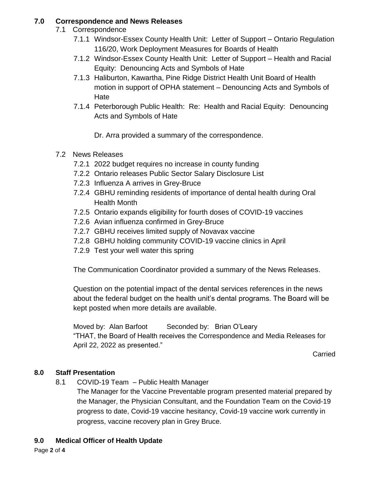## **7.0 Correspondence and News Releases**

- 7.1 Correspondence
	- 7.1.1 Windsor-Essex County Health Unit: Letter of Support Ontario Regulation 116/20, Work Deployment Measures for Boards of Health
	- 7.1.2 Windsor-Essex County Health Unit: Letter of Support Health and Racial Equity: Denouncing Acts and Symbols of Hate
	- 7.1.3 Haliburton, Kawartha, Pine Ridge District Health Unit Board of Health motion in support of OPHA statement – Denouncing Acts and Symbols of Hate
	- 7.1.4 Peterborough Public Health: Re: Health and Racial Equity: Denouncing Acts and Symbols of Hate
		- Dr. Arra provided a summary of the correspondence.
- 7.2 News Releases
	- 7.2.1 2022 budget requires no increase in county funding
	- 7.2.2 Ontario releases Public Sector Salary Disclosure List
	- 7.2.3 Influenza A arrives in Grey-Bruce
	- 7.2.4 GBHU reminding residents of importance of dental health during Oral Health Month
	- 7.2.5 Ontario expands eligibility for fourth doses of COVID-19 vaccines
	- 7.2.6 Avian influenza confirmed in Grey-Bruce
	- 7.2.7 GBHU receives limited supply of Novavax vaccine
	- 7.2.8 GBHU holding community COVID-19 vaccine clinics in April
	- 7.2.9 Test your well water this spring

The Communication Coordinator provided a summary of the News Releases.

Question on the potential impact of the dental services references in the news about the federal budget on the health unit's dental programs. The Board will be kept posted when more details are available.

Moved by: Alan Barfoot Seconded by: Brian O'Leary "THAT, the Board of Health receives the Correspondence and Media Releases for April 22, 2022 as presented."

Carried

### **8.0 Staff Presentation**

8.1 COVID-19 Team – Public Health Manager

The Manager for the Vaccine Preventable program presented material prepared by the Manager, the Physician Consultant, and the Foundation Team on the Covid-19 progress to date, Covid-19 vaccine hesitancy, Covid-19 vaccine work currently in progress, vaccine recovery plan in Grey Bruce.

#### **9.0 Medical Officer of Health Update**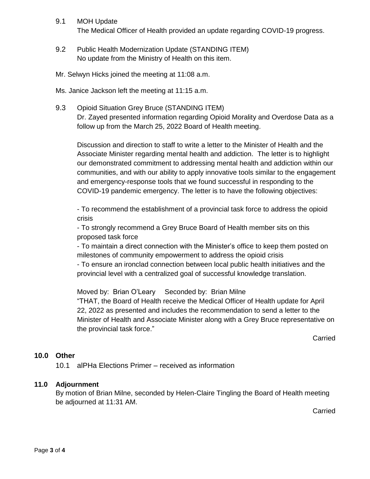- 9.1 MOH Update The Medical Officer of Health provided an update regarding COVID-19 progress.
- 9.2 Public Health Modernization Update (STANDING ITEM) No update from the Ministry of Health on this item.
- Mr. Selwyn Hicks joined the meeting at 11:08 a.m.

Ms. Janice Jackson left the meeting at 11:15 a.m.

9.3 Opioid Situation Grey Bruce (STANDING ITEM) Dr. Zayed presented information regarding Opioid Morality and Overdose Data as a follow up from the March 25, 2022 Board of Health meeting.

Discussion and direction to staff to write a letter to the Minister of Health and the Associate Minister regarding mental health and addiction. The letter is to highlight our demonstrated commitment to addressing mental health and addiction within our communities, and with our ability to apply innovative tools similar to the engagement and emergency-response tools that we found successful in responding to the COVID-19 pandemic emergency. The letter is to have the following objectives:

- To recommend the establishment of a provincial task force to address the opioid crisis

- To strongly recommend a Grey Bruce Board of Health member sits on this proposed task force

- To maintain a direct connection with the Minister's office to keep them posted on milestones of community empowerment to address the opioid crisis

- To ensure an ironclad connection between local public health initiatives and the provincial level with a centralized goal of successful knowledge translation.

Moved by: Brian O'Leary Seconded by: Brian Milne "THAT, the Board of Health receive the Medical Officer of Health update for April 22, 2022 as presented and includes the recommendation to send a letter to the Minister of Health and Associate Minister along with a Grey Bruce representative on the provincial task force."

Carried

#### **10.0 Other**

10.1 alPHa Elections Primer – received as information

#### **11.0 Adjournment**

By motion of Brian Milne, seconded by Helen-Claire Tingling the Board of Health meeting be adjourned at 11:31 AM.

**Carried**